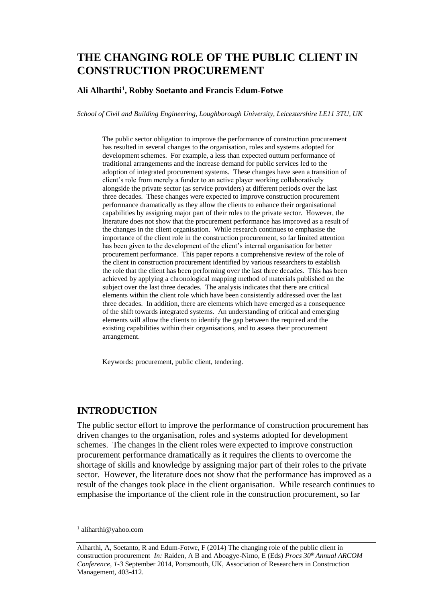# **THE CHANGING ROLE OF THE PUBLIC CLIENT IN CONSTRUCTION PROCUREMENT**

#### **Ali Alharthi<sup>1</sup> , Robby Soetanto and Francis Edum-Fotwe**

*School of Civil and Building Engineering, Loughborough University, Leicestershire LE11 3TU, UK* 

The public sector obligation to improve the performance of construction procurement has resulted in several changes to the organisation, roles and systems adopted for development schemes. For example, a less than expected outturn performance of traditional arrangements and the increase demand for public services led to the adoption of integrated procurement systems. These changes have seen a transition of client's role from merely a funder to an active player working collaboratively alongside the private sector (as service providers) at different periods over the last three decades. These changes were expected to improve construction procurement performance dramatically as they allow the clients to enhance their organisational capabilities by assigning major part of their roles to the private sector. However, the literature does not show that the procurement performance has improved as a result of the changes in the client organisation. While research continues to emphasise the importance of the client role in the construction procurement, so far limited attention has been given to the development of the client's internal organisation for better procurement performance. This paper reports a comprehensive review of the role of the client in construction procurement identified by various researchers to establish the role that the client has been performing over the last three decades. This has been achieved by applying a chronological mapping method of materials published on the subject over the last three decades. The analysis indicates that there are critical elements within the client role which have been consistently addressed over the last three decades. In addition, there are elements which have emerged as a consequence of the shift towards integrated systems. An understanding of critical and emerging elements will allow the clients to identify the gap between the required and the existing capabilities within their organisations, and to assess their procurement arrangement.

Keywords: procurement, public client, tendering.

## **INTRODUCTION**

The public sector effort to improve the performance of construction procurement has driven changes to the organisation, roles and systems adopted for development schemes. The changes in the client roles were expected to improve construction procurement performance dramatically as it requires the clients to overcome the shortage of skills and knowledge by assigning major part of their roles to the private sector. However, the literature does not show that the performance has improved as a result of the changes took place in the client organisation. While research continues to emphasise the importance of the client role in the construction procurement, so far

<sup>1</sup> aliharthi@yahoo.com

Alharthi, A, Soetanto, R and Edum-Fotwe, F (2014) The changing role of the public client in construction procurement *In:* Raiden, A B and Aboagye-Nimo, E (Eds) *Procs 30th Annual ARCOM Conference, 1-3* September 2014, Portsmouth, UK, Association of Researchers in Construction Management, 403[-412.](#page-9-0)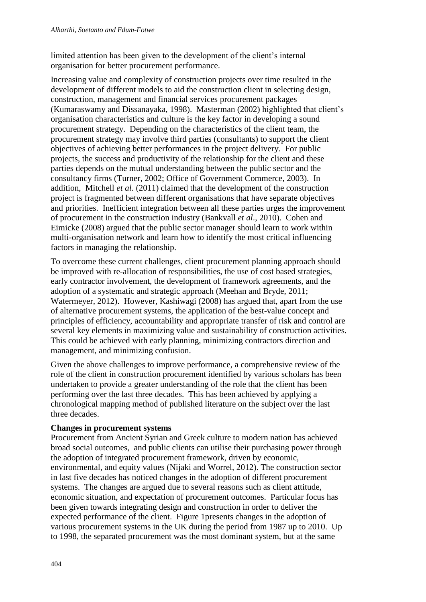limited attention has been given to the development of the client's internal organisation for better procurement performance.

Increasing value and complexity of construction projects over time resulted in the development of different models to aid the construction client in selecting design, construction, management and financial services procurement packages (Kumaraswamy and Dissanayaka, 1998). Masterman (2002) highlighted that client's organisation characteristics and culture is the key factor in developing a sound procurement strategy. Depending on the characteristics of the client team, the procurement strategy may involve third parties (consultants) to support the client objectives of achieving better performances in the project delivery. For public projects, the success and productivity of the relationship for the client and these parties depends on the mutual understanding between the public sector and the consultancy firms (Turner, 2002; Office of Government Commerce, 2003). In addition, Mitchell *et al*. (2011) claimed that the development of the construction project is fragmented between different organisations that have separate objectives and priorities. Inefficient integration between all these parties urges the improvement of procurement in the construction industry (Bankvall *et al*., 2010). Cohen and Eimicke (2008) argued that the public sector manager should learn to work within multi-organisation network and learn how to identify the most critical influencing factors in managing the relationship.

To overcome these current challenges, client procurement planning approach should be improved with re-allocation of responsibilities, the use of cost based strategies, early contractor involvement, the development of framework agreements, and the adoption of a systematic and strategic approach (Meehan and Bryde, 2011; Watermeyer, 2012). However, Kashiwagi (2008) has argued that, apart from the use of alternative procurement systems, the application of the best-value concept and principles of efficiency, accountability and appropriate transfer of risk and control are several key elements in maximizing value and sustainability of construction activities. This could be achieved with early planning, minimizing contractors direction and management, and minimizing confusion.

Given the above challenges to improve performance, a comprehensive review of the role of the client in construction procurement identified by various scholars has been undertaken to provide a greater understanding of the role that the client has been performing over the last three decades. This has been achieved by applying a chronological mapping method of published literature on the subject over the last three decades.

#### **Changes in procurement systems**

Procurement from Ancient Syrian and Greek culture to modern nation has achieved broad social outcomes, and public clients can utilise their purchasing power through the adoption of integrated procurement framework, driven by economic, environmental, and equity values (Nijaki and Worrel, 2012). The construction sector in last five decades has noticed changes in the adoption of different procurement systems. The changes are argued due to several reasons such as client attitude, economic situation, and expectation of procurement outcomes. Particular focus has been given towards integrating design and construction in order to deliver the expected performance of the client. Figure 1presents changes in the adoption of various procurement systems in the UK during the period from 1987 up to 2010. Up to 1998, the separated procurement was the most dominant system, but at the same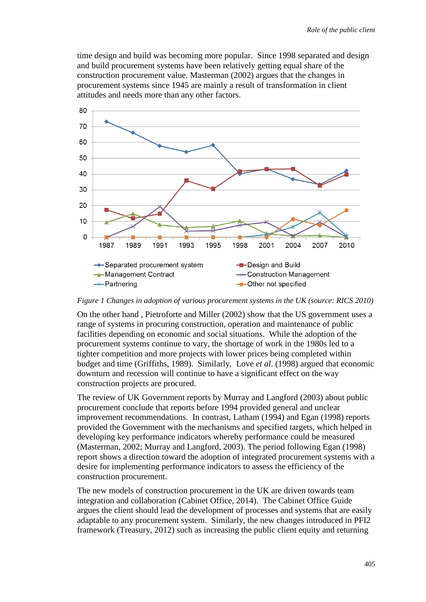time design and build was becoming more popular. Since 1998 separated and design and build procurement systems have been relatively getting equal share of the construction procurement value. Masterman (2002) argues that the changes in procurement systems since 1945 are mainly a result of transformation in client attitudes and needs more than any other factors.



*Figure 1 Changes in adoption of various procurement systems in the UK (source: RICS 2010)* 

On the other hand , Pietroforte and Miller (2002) show that the US government uses a range of systems in procuring construction, operation and maintenance of public facilities depending on economic and social situations. While the adoption of the procurement systems continue to vary, the shortage of work in the 1980s led to a tighter competition and more projects with lower prices being completed within budget and time (Griffiths, 1989). Similarly, Love *et al*. (1998) argued that economic downturn and recession will continue to have a significant effect on the way construction projects are procured.

The review of UK Government reports by Murray and Langford (2003) about public procurement conclude that reports before 1994 provided general and unclear improvement recommendations. In contrast, Latham (1994) and Egan (1998) reports provided the Government with the mechanisms and specified targets, which helped in developing key performance indicators whereby performance could be measured (Masterman, 2002; Murray and Langford, 2003). The period following Egan (1998) report shows a direction toward the adoption of integrated procurement systems with a desire for implementing performance indicators to assess the efficiency of the construction procurement.

The new models of construction procurement in the UK are driven towards team integration and collaboration (Cabinet Office, 2014). The Cabinet Office Guide argues the client should lead the development of processes and systems that are easily adaptable to any procurement system. Similarly, the new changes introduced in PFI2 framework (Treasury, 2012) such as increasing the public client equity and returning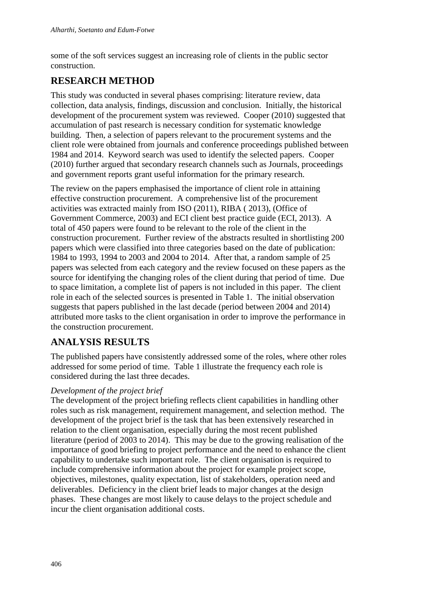some of the soft services suggest an increasing role of clients in the public sector construction.

# **RESEARCH METHOD**

This study was conducted in several phases comprising: literature review, data collection, data analysis, findings, discussion and conclusion. Initially, the historical development of the procurement system was reviewed. Cooper (2010) suggested that accumulation of past research is necessary condition for systematic knowledge building. Then, a selection of papers relevant to the procurement systems and the client role were obtained from journals and conference proceedings published between 1984 and 2014. Keyword search was used to identify the selected papers. Cooper (2010) further argued that secondary research channels such as Journals, proceedings and government reports grant useful information for the primary research.

The review on the papers emphasised the importance of client role in attaining effective construction procurement. A comprehensive list of the procurement activities was extracted mainly from ISO (2011), RIBA ( 2013), (Office of Government Commerce, 2003) and ECI client best practice guide (ECI, 2013). A total of 450 papers were found to be relevant to the role of the client in the construction procurement. Further review of the abstracts resulted in shortlisting 200 papers which were classified into three categories based on the date of publication: 1984 to 1993, 1994 to 2003 and 2004 to 2014. After that, a random sample of 25 papers was selected from each category and the review focused on these papers as the source for identifying the changing roles of the client during that period of time. Due to space limitation, a complete list of papers is not included in this paper. The client role in each of the selected sources is presented in Table 1. The initial observation suggests that papers published in the last decade (period between 2004 and 2014) attributed more tasks to the client organisation in order to improve the performance in the construction procurement.

# **ANALYSIS RESULTS**

The published papers have consistently addressed some of the roles, where other roles addressed for some period of time. Table 1 illustrate the frequency each role is considered during the last three decades.

## *Development of the project brief*

The development of the project briefing reflects client capabilities in handling other roles such as risk management, requirement management, and selection method. The development of the project brief is the task that has been extensively researched in relation to the client organisation, especially during the most recent published literature (period of 2003 to 2014). This may be due to the growing realisation of the importance of good briefing to project performance and the need to enhance the client capability to undertake such important role. The client organisation is required to include comprehensive information about the project for example project scope, objectives, milestones, quality expectation, list of stakeholders, operation need and deliverables. Deficiency in the client brief leads to major changes at the design phases. These changes are most likely to cause delays to the project schedule and incur the client organisation additional costs.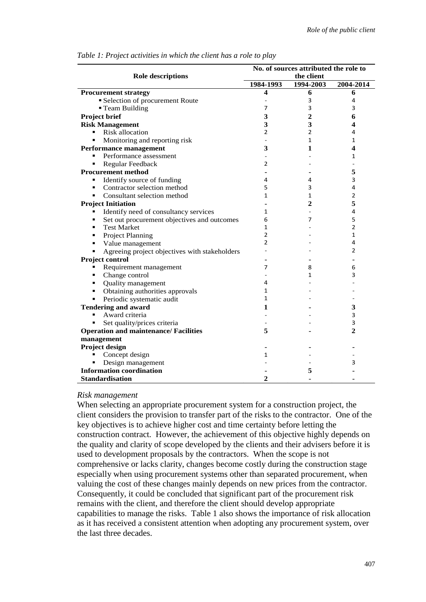| <b>Role descriptions</b>                            | No. of sources attributed the role to |                |                |
|-----------------------------------------------------|---------------------------------------|----------------|----------------|
|                                                     | the client                            |                |                |
|                                                     | 1984-1993                             | 1994-2003      | 2004-2014      |
| <b>Procurement strategy</b>                         | 4                                     | 6              | 6              |
| Selection of procurement Route                      |                                       | 3              | 4              |
| <b>Team Building</b>                                | 7                                     | 3              | 3              |
| <b>Project brief</b>                                | 3                                     | $\overline{c}$ | 6              |
| <b>Risk Management</b>                              | 3                                     | 3              | 4              |
| Risk allocation<br>$\blacksquare$                   | $\overline{2}$                        | $\overline{2}$ | 4              |
| Monitoring and reporting risk<br>٠                  |                                       | $\mathbf{1}$   | 1              |
| <b>Performance management</b>                       | 3                                     | 1              | 4              |
| Performance assessment<br>٠                         |                                       |                | 1              |
| Regular Feedback<br>٠                               | $\overline{2}$                        |                |                |
| <b>Procurement method</b>                           | $\blacksquare$                        |                | 5              |
| Identify source of funding                          | 4                                     | 4              | 3              |
| Contractor selection method<br>٠                    | 5                                     | 3              | 4              |
| Consultant selection method<br>$\blacksquare$       | 1                                     | $\mathbf{1}$   | $\overline{2}$ |
| <b>Project Initiation</b>                           |                                       | $\mathbf{2}$   | 5              |
| Identify need of consultancy services<br>٠          | 1                                     |                | 4              |
| Set out procurement objectives and outcomes<br>٠    | 6                                     | 7              | 5              |
| <b>Test Market</b><br>٠                             | 1                                     |                | 2              |
| Project Planning<br>٠                               | 2                                     |                | 1              |
| Value management<br>٠                               | $\overline{2}$                        |                | 4              |
| Agreeing project objectives with stakeholders<br>×, |                                       |                | $\overline{2}$ |
| Project control                                     |                                       |                |                |
| Requirement management<br>٠                         | 7                                     | 8              | 6              |
| Change control<br>٠                                 |                                       | 1              | 3              |
| Quality management<br>$\blacksquare$                | 4                                     |                |                |
| Obtaining authorities approvals<br>٠                | 1                                     |                |                |
| Periodic systematic audit<br>٠                      | 1                                     |                |                |
| <b>Tendering and award</b>                          | 1                                     |                | 3              |
| Award criteria                                      |                                       |                | 3              |
| Set quality/prices criteria<br>٠                    |                                       |                | 3              |
| <b>Operation and maintenance/ Facilities</b>        | 5                                     |                | $\overline{2}$ |
| management                                          |                                       |                |                |
| <b>Project design</b>                               |                                       |                |                |
| Concept design                                      | 1                                     |                |                |
| Design management                                   |                                       |                | 3              |
| <b>Information coordination</b>                     |                                       | 5              |                |
| <b>Standardisation</b>                              | $\overline{2}$                        |                |                |

#### *Table 1: Project activities in which the client has a role to play*

#### *Risk management*

When selecting an appropriate procurement system for a construction project, the client considers the provision to transfer part of the risks to the contractor. One of the key objectives is to achieve higher cost and time certainty before letting the construction contract. However, the achievement of this objective highly depends on the quality and clarity of scope developed by the clients and their advisers before it is used to development proposals by the contractors. When the scope is not comprehensive or lacks clarity, changes become costly during the construction stage especially when using procurement systems other than separated procurement, when valuing the cost of these changes mainly depends on new prices from the contractor. Consequently, it could be concluded that significant part of the procurement risk remains with the client, and therefore the client should develop appropriate capabilities to manage the risks. Table 1 also shows the importance of risk allocation as it has received a consistent attention when adopting any procurement system, over the last three decades.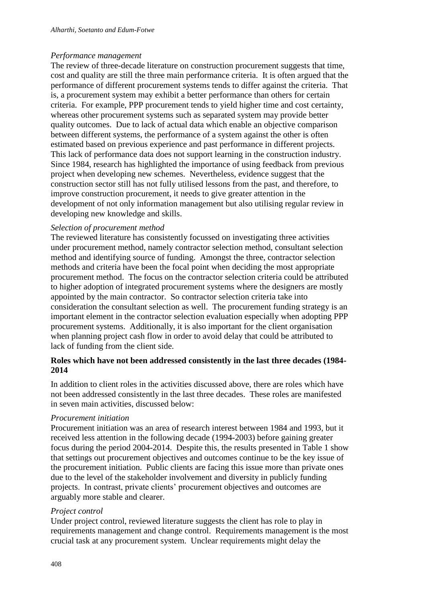#### *Performance management*

The review of three-decade literature on construction procurement suggests that time, cost and quality are still the three main performance criteria. It is often argued that the performance of different procurement systems tends to differ against the criteria. That is, a procurement system may exhibit a better performance than others for certain criteria. For example, PPP procurement tends to yield higher time and cost certainty, whereas other procurement systems such as separated system may provide better quality outcomes. Due to lack of actual data which enable an objective comparison between different systems, the performance of a system against the other is often estimated based on previous experience and past performance in different projects. This lack of performance data does not support learning in the construction industry. Since 1984, research has highlighted the importance of using feedback from previous project when developing new schemes. Nevertheless, evidence suggest that the construction sector still has not fully utilised lessons from the past, and therefore, to improve construction procurement, it needs to give greater attention in the development of not only information management but also utilising regular review in developing new knowledge and skills.

#### *Selection of procurement method*

The reviewed literature has consistently focussed on investigating three activities under procurement method, namely contractor selection method, consultant selection method and identifying source of funding. Amongst the three, contractor selection methods and criteria have been the focal point when deciding the most appropriate procurement method. The focus on the contractor selection criteria could be attributed to higher adoption of integrated procurement systems where the designers are mostly appointed by the main contractor. So contractor selection criteria take into consideration the consultant selection as well. The procurement funding strategy is an important element in the contractor selection evaluation especially when adopting PPP procurement systems. Additionally, it is also important for the client organisation when planning project cash flow in order to avoid delay that could be attributed to lack of funding from the client side.

### **Roles which have not been addressed consistently in the last three decades (1984- 2014**

In addition to client roles in the activities discussed above, there are roles which have not been addressed consistently in the last three decades. These roles are manifested in seven main activities, discussed below:

#### *Procurement initiation*

Procurement initiation was an area of research interest between 1984 and 1993, but it received less attention in the following decade (1994-2003) before gaining greater focus during the period 2004-2014. Despite this, the results presented in Table 1 show that settings out procurement objectives and outcomes continue to be the key issue of the procurement initiation. Public clients are facing this issue more than private ones due to the level of the stakeholder involvement and diversity in publicly funding projects. In contrast, private clients' procurement objectives and outcomes are arguably more stable and clearer.

#### *Project control*

Under project control, reviewed literature suggests the client has role to play in requirements management and change control. Requirements management is the most crucial task at any procurement system. Unclear requirements might delay the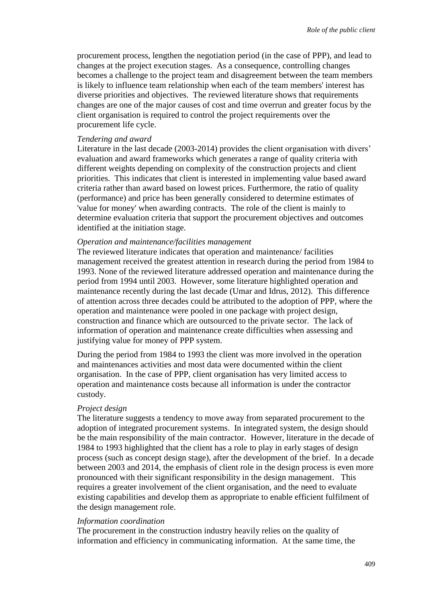procurement process, lengthen the negotiation period (in the case of PPP), and lead to changes at the project execution stages. As a consequence, controlling changes becomes a challenge to the project team and disagreement between the team members is likely to influence team relationship when each of the team members' interest has diverse priorities and objectives. The reviewed literature shows that requirements changes are one of the major causes of cost and time overrun and greater focus by the client organisation is required to control the project requirements over the procurement life cycle.

#### *Tendering and award*

Literature in the last decade (2003-2014) provides the client organisation with divers' evaluation and award frameworks which generates a range of quality criteria with different weights depending on complexity of the construction projects and client priorities. This indicates that client is interested in implementing value based award criteria rather than award based on lowest prices. Furthermore, the ratio of quality (performance) and price has been generally considered to determine estimates of 'value for money' when awarding contracts. The role of the client is mainly to determine evaluation criteria that support the procurement objectives and outcomes identified at the initiation stage.

#### *Operation and maintenance/facilities management*

The reviewed literature indicates that operation and maintenance/ facilities management received the greatest attention in research during the period from 1984 to 1993. None of the reviewed literature addressed operation and maintenance during the period from 1994 until 2003. However, some literature highlighted operation and maintenance recently during the last decade (Umar and Idrus, 2012). This difference of attention across three decades could be attributed to the adoption of PPP, where the operation and maintenance were pooled in one package with project design, construction and finance which are outsourced to the private sector. The lack of information of operation and maintenance create difficulties when assessing and justifying value for money of PPP system.

During the period from 1984 to 1993 the client was more involved in the operation and maintenances activities and most data were documented within the client organisation. In the case of PPP, client organisation has very limited access to operation and maintenance costs because all information is under the contractor custody.

#### *Project design*

The literature suggests a tendency to move away from separated procurement to the adoption of integrated procurement systems. In integrated system, the design should be the main responsibility of the main contractor. However, literature in the decade of 1984 to 1993 highlighted that the client has a role to play in early stages of design process (such as concept design stage), after the development of the brief. In a decade between 2003 and 2014, the emphasis of client role in the design process is even more pronounced with their significant responsibility in the design management. This requires a greater involvement of the client organisation, and the need to evaluate existing capabilities and develop them as appropriate to enable efficient fulfilment of the design management role.

#### *Information coordination*

The procurement in the construction industry heavily relies on the quality of information and efficiency in communicating information. At the same time, the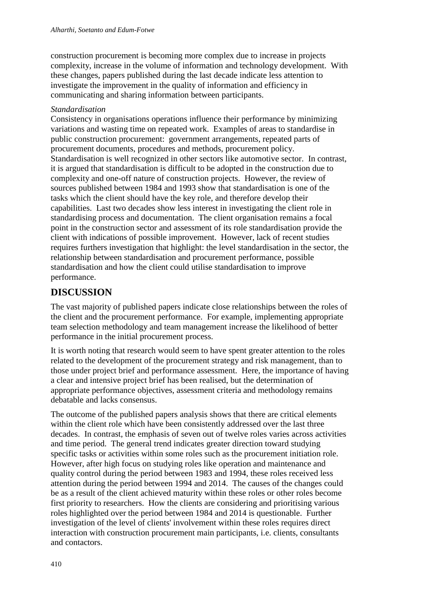construction procurement is becoming more complex due to increase in projects complexity, increase in the volume of information and technology development. With these changes, papers published during the last decade indicate less attention to investigate the improvement in the quality of information and efficiency in communicating and sharing information between participants.

### *Standardisation*

Consistency in organisations operations influence their performance by minimizing variations and wasting time on repeated work. Examples of areas to standardise in public construction procurement: government arrangements, repeated parts of procurement documents, procedures and methods, procurement policy. Standardisation is well recognized in other sectors like automotive sector. In contrast, it is argued that standardisation is difficult to be adopted in the construction due to complexity and one-off nature of construction projects. However, the review of sources published between 1984 and 1993 show that standardisation is one of the tasks which the client should have the key role, and therefore develop their capabilities. Last two decades show less interest in investigating the client role in standardising process and documentation. The client organisation remains a focal point in the construction sector and assessment of its role standardisation provide the client with indications of possible improvement. However, lack of recent studies requires furthers investigation that highlight: the level standardisation in the sector, the relationship between standardisation and procurement performance, possible standardisation and how the client could utilise standardisation to improve performance.

## **DISCUSSION**

The vast majority of published papers indicate close relationships between the roles of the client and the procurement performance. For example, implementing appropriate team selection methodology and team management increase the likelihood of better performance in the initial procurement process.

It is worth noting that research would seem to have spent greater attention to the roles related to the development of the procurement strategy and risk management, than to those under project brief and performance assessment. Here, the importance of having a clear and intensive project brief has been realised, but the determination of appropriate performance objectives, assessment criteria and methodology remains debatable and lacks consensus.

The outcome of the published papers analysis shows that there are critical elements within the client role which have been consistently addressed over the last three decades. In contrast, the emphasis of seven out of twelve roles varies across activities and time period. The general trend indicates greater direction toward studying specific tasks or activities within some roles such as the procurement initiation role. However, after high focus on studying roles like operation and maintenance and quality control during the period between 1983 and 1994, these roles received less attention during the period between 1994 and 2014. The causes of the changes could be as a result of the client achieved maturity within these roles or other roles become first priority to researchers. How the clients are considering and prioritising various roles highlighted over the period between 1984 and 2014 is questionable. Further investigation of the level of clients' involvement within these roles requires direct interaction with construction procurement main participants, i.e. clients, consultants and contactors.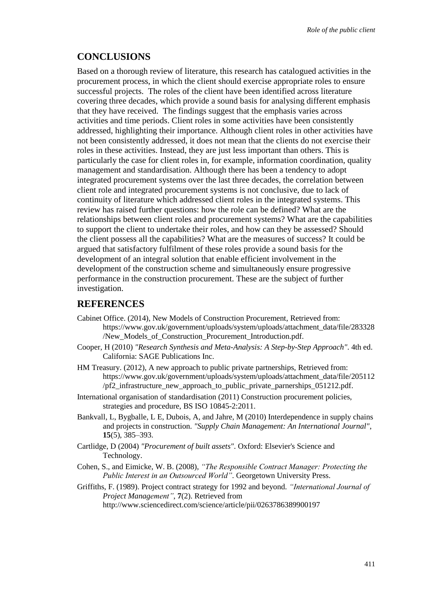### **CONCLUSIONS**

Based on a thorough review of literature, this research has catalogued activities in the procurement process, in which the client should exercise appropriate roles to ensure successful projects. The roles of the client have been identified across literature covering three decades, which provide a sound basis for analysing different emphasis that they have received. The findings suggest that the emphasis varies across activities and time periods. Client roles in some activities have been consistently addressed, highlighting their importance. Although client roles in other activities have not been consistently addressed, it does not mean that the clients do not exercise their roles in these activities. Instead, they are just less important than others. This is particularly the case for client roles in, for example, information coordination, quality management and standardisation. Although there has been a tendency to adopt integrated procurement systems over the last three decades, the correlation between client role and integrated procurement systems is not conclusive, due to lack of continuity of literature which addressed client roles in the integrated systems. This review has raised further questions: how the role can be defined? What are the relationships between client roles and procurement systems? What are the capabilities to support the client to undertake their roles, and how can they be assessed? Should the client possess all the capabilities? What are the measures of success? It could be argued that satisfactory fulfilment of these roles provide a sound basis for the development of an integral solution that enable efficient involvement in the development of the construction scheme and simultaneously ensure progressive performance in the construction procurement. These are the subject of further investigation.

### **REFERENCES**

- Cabinet Office. (2014), New Models of Construction Procurement, Retrieved from: https://www.gov.uk/government/uploads/system/uploads/attachment\_data/file/283328 /New\_Models\_of\_Construction\_Procurement\_Introduction.pdf.
- Cooper, H (2010) *"Research Synthesis and Meta-Analysis: A Step-by-Step Approach"*. 4th ed. California: SAGE Publications Inc.
- HM Treasury. (2012), A new approach to public private partnerships, Retrieved from: https://www.gov.uk/government/uploads/system/uploads/attachment\_data/file/205112 /pf2\_infrastructure\_new\_approach\_to\_public\_private\_parnerships\_051212.pdf.
- International organisation of standardisation (2011) Construction procurement policies, strategies and procedure, BS ISO 10845-2:2011.
- Bankvall, L, Bygballe, L E, Dubois, A, and Jahre, M (2010) Interdependence in supply chains and projects in construction. *"Supply Chain Management: An International Journal"*, **15**(5), 385–393.
- Cartlidge, D (2004) *"Procurement of built assets"*. Oxford: Elsevier's Science and Technology.
- Cohen, S., and Eimicke, W. B. (2008), *"The Responsible Contract Manager: Protecting the Public Interest in an Outsourced World"*. Georgetown University Press.
- Griffiths, F. (1989). Project contract strategy for 1992 and beyond. *"International Journal of Project Management"*, **7**(2). Retrieved from http://www.sciencedirect.com/science/article/pii/0263786389900197